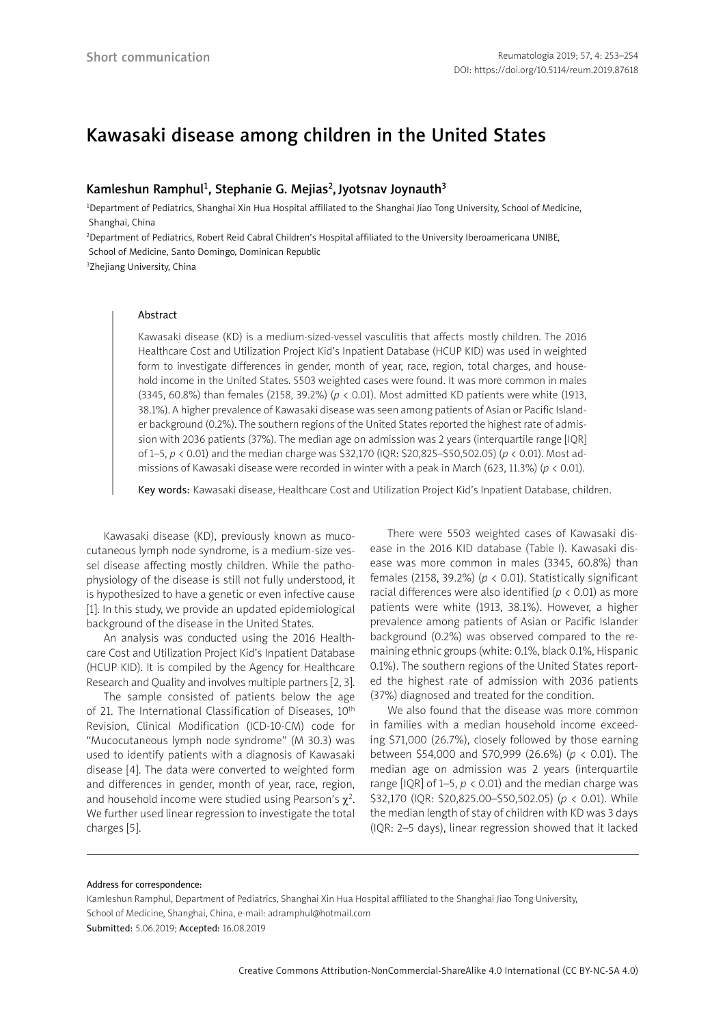# Kawasaki disease among children in the United States

# Kamleshun Ramphul<sup>1</sup>, Stephanie G. Mejias<sup>2</sup>, Jyotsnav Joynauth<sup>3</sup>

<sup>1</sup>Department of Pediatrics, Shanghai Xin Hua Hospital affiliated to the Shanghai Jiao Tong University, School of Medicine, Shanghai, China

2Department of Pediatrics, Robert Reid Cabral Children's Hospital affiliated to the University Iberoamericana UNIBE,

School of Medicine, Santo Domingo, Dominican Republic

<sup>3</sup>Zhejiang University, China

## Abstract

Kawasaki disease (KD) is a medium-sized-vessel vasculitis that affects mostly children. The 2016 Healthcare Cost and Utilization Project Kid's Inpatient Database (HCUP KID) was used in weighted form to investigate differences in gender, month of year, race, region, total charges, and household income in the United States. 5503 weighted cases were found. It was more common in males (3345, 60.8%) than females (2158, 39.2%) (*p* < 0.01). Most admitted KD patients were white (1913, 38.1%). A higher prevalence of Kawasaki disease was seen among patients of Asian or Pacific Islander background (0.2%). The southern regions of the United States reported the highest rate of admission with 2036 patients (37%). The median age on admission was 2 years (interquartile range [IQR] of 1–5, *p* < 0.01) and the median charge was \$32,170 (IQR: \$20,825–\$50,502.05) (*p* < 0.01). Most admissions of Kawasaki disease were recorded in winter with a peak in March (623, 11.3%) (*p* < 0.01).

Key words: Kawasaki disease, Healthcare Cost and Utilization Project Kid's Inpatient Database, children.

Kawasaki disease (KD), previously known as mucocutaneous lymph node syndrome, is a medium-size vessel disease affecting mostly children. While the pathophysiology of the disease is still not fully understood, it is hypothesized to have a genetic or even infective cause [1]. In this study, we provide an updated epidemiological background of the disease in the United States.

An analysis was conducted using the 2016 Healthcare Cost and Utilization Project Kid's Inpatient Database (HCUP KID). It is compiled by the Agency for Healthcare Research and Quality and involves multiple partners [2, 3].

The sample consisted of patients below the age of 21. The International Classification of Diseases, 10<sup>th</sup> Revision, Clinical Modification (ICD-10-CM) code for "Mucocutaneous lymph node syndrome" (M 30.3) was used to identify patients with a diagnosis of Kawasaki disease [4]. The data were converted to weighted form and differences in gender, month of year, race, region, and household income were studied using Pearson's  $\chi^2$ . We further used linear regression to investigate the total charges [5].

There were 5503 weighted cases of Kawasaki disease in the 2016 KID database (Table I). Kawasaki disease was more common in males (3345, 60.8%) than females (2158, 39.2%) ( $p < 0.01$ ). Statistically significant racial differences were also identified (*p* < 0.01) as more patients were white (1913, 38.1%). However, a higher prevalence among patients of Asian or Pacific Islander background (0.2%) was observed compared to the remaining ethnic groups (white: 0.1%, black 0.1%, Hispanic 0.1%). The southern regions of the United States reported the highest rate of admission with 2036 patients (37%) diagnosed and treated for the condition.

We also found that the disease was more common in families with a median household income exceeding \$71,000 (26.7%), closely followed by those earning between \$54,000 and \$70,999 (26.6%) (*p* < 0.01). The median age on admission was 2 years (interquartile range  $[IQR]$  of 1–5,  $p < 0.01$ ) and the median charge was \$32,170 (IQR: \$20,825.00–\$50,502.05) (*p* < 0.01). While the median length of stay of children with KD was 3 days (IQR: 2–5 days), linear regression showed that it lacked

#### Address for correspondence:

Kamleshun Ramphul, Department of Pediatrics, Shanghai Xin Hua Hospital affiliated to the Shanghai Jiao Tong University, School of Medicine, Shanghai, China, e-mail: adramphul@hotmail.com Submitted: 5.06.2019; Accepted: 16.08.2019